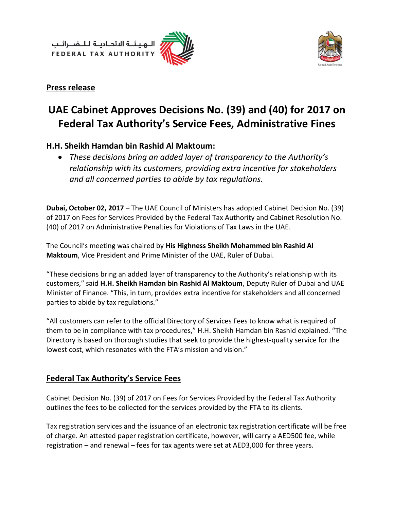لــهـيـئــة الاتحــاديــة لــلــضــرائــب<br>FEDERAL TAX AUTHORITY





#### **Press release**

# **UAE Cabinet Approves Decisions No. (39) and (40) for 2017 on Federal Tax Authority's Service Fees, Administrative Fines**

# **H.H. Sheikh Hamdan bin Rashid Al Maktoum:**

 *These decisions bring an added layer of transparency to the Authority's relationship with its customers, providing extra incentive for stakeholders and all concerned parties to abide by tax regulations.*

**Dubai, October 02, 2017** – The UAE Council of Ministers has adopted Cabinet Decision No. (39) of 2017 on Fees for Services Provided by the Federal Tax Authority and Cabinet Resolution No. (40) of 2017 on Administrative Penalties for Violations of Tax Laws in the UAE.

The Council's meeting was chaired by **His Highness Sheikh Mohammed bin Rashid Al Maktoum**, Vice President and Prime Minister of the UAE, Ruler of Dubai.

"These decisions bring an added layer of transparency to the Authority's relationship with its customers," said **H.H. Sheikh Hamdan bin Rashid Al Maktoum**, Deputy Ruler of Dubai and UAE Minister of Finance. "This, in turn, provides extra incentive for stakeholders and all concerned parties to abide by tax regulations."

"All customers can refer to the official Directory of Services Fees to know what is required of them to be in compliance with tax procedures," H.H. Sheikh Hamdan bin Rashid explained. "The Directory is based on thorough studies that seek to provide the highest-quality service for the lowest cost, which resonates with the FTA's mission and vision."

# **Federal Tax Authority's Service Fees**

Cabinet Decision No. (39) of 2017 on Fees for Services Provided by the Federal Tax Authority outlines the fees to be collected for the services provided by the FTA to its clients.

Tax registration services and the issuance of an electronic tax registration certificate will be free of charge. An attested paper registration certificate, however, will carry a AED500 fee, while registration – and renewal – fees for tax agents were set at AED3,000 for three years.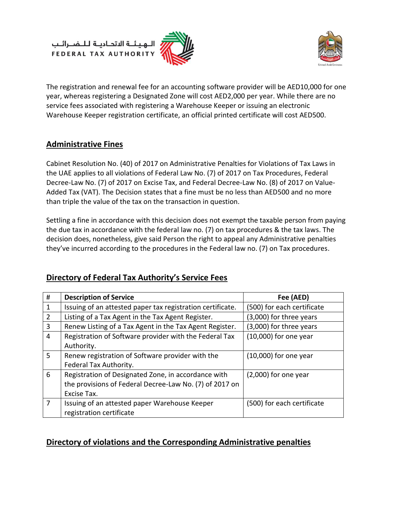الــهـيـئــة الىتحــاديــة لــلــضــرائــب<br>FEDERAL TAX AUTHORITY





The registration and renewal fee for an accounting software provider will be AED10,000 for one year, whereas registering a Designated Zone will cost AED2,000 per year. While there are no service fees associated with registering a Warehouse Keeper or issuing an electronic Warehouse Keeper registration certificate, an official printed certificate will cost AED500.

#### **Administrative Fines**

Cabinet Resolution No. (40) of 2017 on Administrative Penalties for Violations of Tax Laws in the UAE applies to all violations of Federal Law No. (7) of 2017 on Tax Procedures, Federal Decree-Law No. (7) of 2017 on Excise Tax, and Federal Decree-Law No. (8) of 2017 on Value-Added Tax (VAT). The Decision states that a fine must be no less than AED500 and no more than triple the value of the tax on the transaction in question.

Settling a fine in accordance with this decision does not exempt the taxable person from paying the due tax in accordance with the federal law no. (7) on tax procedures & the tax laws. The decision does, nonetheless, give said Person the right to appeal any Administrative penalties they've incurred according to the procedures in the Federal law no. (7) on Tax procedures.

| #            | <b>Description of Service</b>                              | Fee (AED)                  |
|--------------|------------------------------------------------------------|----------------------------|
| $\mathbf{1}$ | Issuing of an attested paper tax registration certificate. | (500) for each certificate |
| 2            | Listing of a Tax Agent in the Tax Agent Register.          | (3,000) for three years    |
| 3            | Renew Listing of a Tax Agent in the Tax Agent Register.    | (3,000) for three years    |
| 4            | Registration of Software provider with the Federal Tax     | $(10,000)$ for one year    |
|              | Authority.                                                 |                            |
| 5            | Renew registration of Software provider with the           | $(10,000)$ for one year    |
|              | Federal Tax Authority.                                     |                            |
| 6            | Registration of Designated Zone, in accordance with        | $(2,000)$ for one year     |
|              | the provisions of Federal Decree-Law No. (7) of 2017 on    |                            |
|              | Excise Tax.                                                |                            |
| 7            | Issuing of an attested paper Warehouse Keeper              | (500) for each certificate |
|              | registration certificate                                   |                            |

# **Directory of Federal Tax Authority's Service Fees**

# **Directory of violations and the Corresponding Administrative penalties**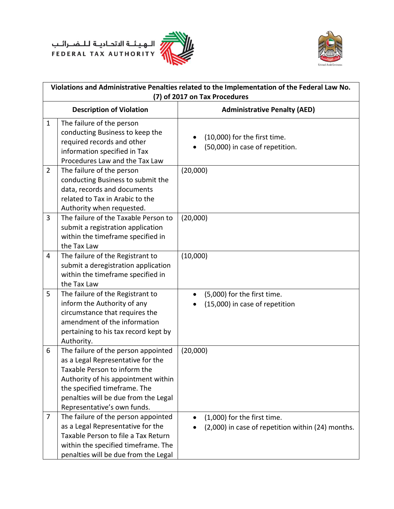



| Violations and Administrative Penalties related to the Implementation of the Federal Law No.<br>(7) of 2017 on Tax Procedures |                                                                                                                                                                                                                                                        |                                                                                  |
|-------------------------------------------------------------------------------------------------------------------------------|--------------------------------------------------------------------------------------------------------------------------------------------------------------------------------------------------------------------------------------------------------|----------------------------------------------------------------------------------|
| <b>Description of Violation</b>                                                                                               |                                                                                                                                                                                                                                                        | <b>Administrative Penalty (AED)</b>                                              |
| $\mathbf{1}$                                                                                                                  | The failure of the person<br>conducting Business to keep the<br>required records and other<br>information specified in Tax<br>Procedures Law and the Tax Law                                                                                           | (10,000) for the first time.<br>(50,000) in case of repetition.                  |
| $\overline{2}$                                                                                                                | The failure of the person<br>conducting Business to submit the<br>data, records and documents<br>related to Tax in Arabic to the<br>Authority when requested.                                                                                          | (20,000)                                                                         |
| 3                                                                                                                             | The failure of the Taxable Person to<br>submit a registration application<br>within the timeframe specified in<br>the Tax Law                                                                                                                          | (20,000)                                                                         |
| 4                                                                                                                             | The failure of the Registrant to<br>submit a deregistration application<br>within the timeframe specified in<br>the Tax Law                                                                                                                            | (10,000)                                                                         |
| 5                                                                                                                             | The failure of the Registrant to<br>inform the Authority of any<br>circumstance that requires the<br>amendment of the information<br>pertaining to his tax record kept by<br>Authority.                                                                | (5,000) for the first time.<br>(15,000) in case of repetition                    |
| 6                                                                                                                             | The failure of the person appointed<br>as a Legal Representative for the<br>Taxable Person to inform the<br>Authority of his appointment within<br>the specified timeframe. The<br>penalties will be due from the Legal<br>Representative's own funds. | (20,000)                                                                         |
| $\overline{7}$                                                                                                                | The failure of the person appointed<br>as a Legal Representative for the<br>Taxable Person to file a Tax Return<br>within the specified timeframe. The<br>penalties will be due from the Legal                                                         | (1,000) for the first time.<br>(2,000) in case of repetition within (24) months. |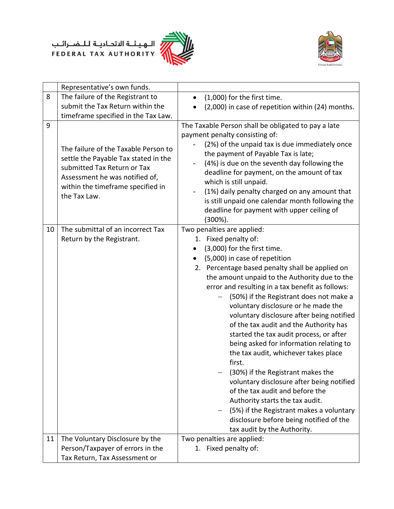



|    | Representative's own funds.                                                                                                                                                                        |                                                                                                                                                                                                                                                                                                                                                                                                                                                                                                                                                                                                                                                                                                                                                                                                                                                                                        |
|----|----------------------------------------------------------------------------------------------------------------------------------------------------------------------------------------------------|----------------------------------------------------------------------------------------------------------------------------------------------------------------------------------------------------------------------------------------------------------------------------------------------------------------------------------------------------------------------------------------------------------------------------------------------------------------------------------------------------------------------------------------------------------------------------------------------------------------------------------------------------------------------------------------------------------------------------------------------------------------------------------------------------------------------------------------------------------------------------------------|
| 8  | The failure of the Registrant to                                                                                                                                                                   | (1,000) for the first time.                                                                                                                                                                                                                                                                                                                                                                                                                                                                                                                                                                                                                                                                                                                                                                                                                                                            |
|    | submit the Tax Return within the                                                                                                                                                                   | (2,000) in case of repetition within (24) months.                                                                                                                                                                                                                                                                                                                                                                                                                                                                                                                                                                                                                                                                                                                                                                                                                                      |
|    | timeframe specified in the Tax Law.                                                                                                                                                                |                                                                                                                                                                                                                                                                                                                                                                                                                                                                                                                                                                                                                                                                                                                                                                                                                                                                                        |
| 9  | The failure of the Taxable Person to<br>settle the Payable Tax stated in the<br>submitted Tax Return or Tax<br>Assessment he was notified of,<br>within the timeframe specified in<br>the Tax Law. | The Taxable Person shall be obligated to pay a late<br>payment penalty consisting of:<br>(2%) of the unpaid tax is due immediately once<br>the payment of Payable Tax is late;<br>(4%) is due on the seventh day following the<br>deadline for payment, on the amount of tax<br>which is still unpaid.<br>(1%) daily penalty charged on any amount that<br>is still unpaid one calendar month following the<br>deadline for payment with upper ceiling of<br>$(300\%).$                                                                                                                                                                                                                                                                                                                                                                                                                |
| 10 | The submittal of an incorrect Tax<br>Return by the Registrant.                                                                                                                                     | Two penalties are applied:<br>1. Fixed penalty of:<br>(3,000) for the first time.<br>(5,000) in case of repetition<br>$\bullet$<br>2. Percentage based penalty shall be applied on<br>the amount unpaid to the Authority due to the<br>error and resulting in a tax benefit as follows:<br>(50%) if the Registrant does not make a<br>voluntary disclosure or he made the<br>voluntary disclosure after being notified<br>of the tax audit and the Authority has<br>started the tax audit process, or after<br>being asked for information relating to<br>the tax audit, whichever takes place<br>first.<br>(30%) if the Registrant makes the<br>voluntary disclosure after being notified<br>of the tax audit and before the<br>Authority starts the tax audit.<br>(5%) if the Registrant makes a voluntary<br>disclosure before being notified of the<br>tax audit by the Authority. |
| 11 | The Voluntary Disclosure by the                                                                                                                                                                    | Two penalties are applied:                                                                                                                                                                                                                                                                                                                                                                                                                                                                                                                                                                                                                                                                                                                                                                                                                                                             |
|    | Person/Taxpayer of errors in the                                                                                                                                                                   | 1. Fixed penalty of:                                                                                                                                                                                                                                                                                                                                                                                                                                                                                                                                                                                                                                                                                                                                                                                                                                                                   |
|    | Tax Return, Tax Assessment or                                                                                                                                                                      |                                                                                                                                                                                                                                                                                                                                                                                                                                                                                                                                                                                                                                                                                                                                                                                                                                                                                        |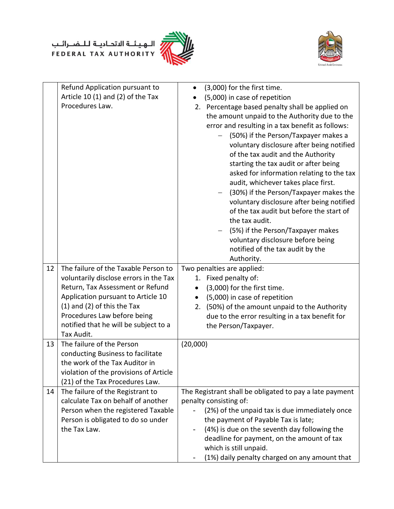# الهيئــة الاتحـاديــة لــلــضـــرائــب<br>FEDERAL TAX AUTHORITY





|    | Refund Application pursuant to<br>Article 10 (1) and (2) of the Tax<br>Procedures Law.                                                                                                                                                                                            | (3,000) for the first time.<br>(5,000) in case of repetition<br>2. Percentage based penalty shall be applied on<br>the amount unpaid to the Authority due to the<br>error and resulting in a tax benefit as follows:<br>(50%) if the Person/Taxpayer makes a<br>voluntary disclosure after being notified<br>of the tax audit and the Authority<br>starting the tax audit or after being<br>asked for information relating to the tax<br>audit, whichever takes place first.<br>(30%) if the Person/Taxpayer makes the<br>voluntary disclosure after being notified |
|----|-----------------------------------------------------------------------------------------------------------------------------------------------------------------------------------------------------------------------------------------------------------------------------------|---------------------------------------------------------------------------------------------------------------------------------------------------------------------------------------------------------------------------------------------------------------------------------------------------------------------------------------------------------------------------------------------------------------------------------------------------------------------------------------------------------------------------------------------------------------------|
|    |                                                                                                                                                                                                                                                                                   | of the tax audit but before the start of<br>the tax audit.<br>(5%) if the Person/Taxpayer makes<br>voluntary disclosure before being<br>notified of the tax audit by the<br>Authority.                                                                                                                                                                                                                                                                                                                                                                              |
| 12 | The failure of the Taxable Person to<br>voluntarily disclose errors in the Tax<br>Return, Tax Assessment or Refund<br>Application pursuant to Article 10<br>$(1)$ and $(2)$ of this the Tax<br>Procedures Law before being<br>notified that he will be subject to a<br>Tax Audit. | Two penalties are applied:<br>1. Fixed penalty of:<br>(3,000) for the first time.<br>$\bullet$<br>(5,000) in case of repetition<br>$\bullet$<br>(50%) of the amount unpaid to the Authority<br>2.<br>due to the error resulting in a tax benefit for<br>the Person/Taxpayer.                                                                                                                                                                                                                                                                                        |
| 13 | The failure of the Person<br>conducting Business to facilitate<br>the work of the Tax Auditor in<br>violation of the provisions of Article<br>(21) of the Tax Procedures Law.                                                                                                     | (20,000)                                                                                                                                                                                                                                                                                                                                                                                                                                                                                                                                                            |
| 14 | The failure of the Registrant to<br>calculate Tax on behalf of another<br>Person when the registered Taxable<br>Person is obligated to do so under<br>the Tax Law.                                                                                                                | The Registrant shall be obligated to pay a late payment<br>penalty consisting of:<br>(2%) of the unpaid tax is due immediately once<br>the payment of Payable Tax is late;<br>(4%) is due on the seventh day following the<br>$\qquad \qquad -$<br>deadline for payment, on the amount of tax<br>which is still unpaid.<br>(1%) daily penalty charged on any amount that                                                                                                                                                                                            |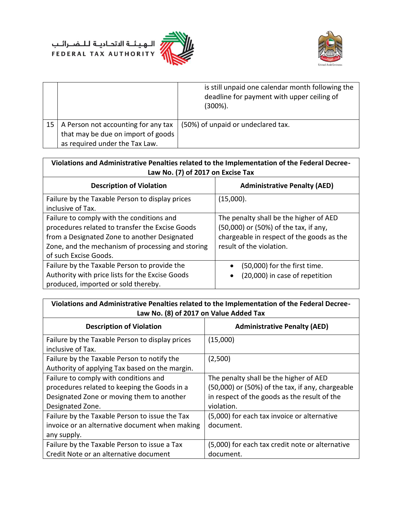



|    |                                                                                                             | is still unpaid one calendar month following the<br>deadline for payment with upper ceiling of<br>(300%). |
|----|-------------------------------------------------------------------------------------------------------------|-----------------------------------------------------------------------------------------------------------|
| 15 | A Person not accounting for any tax<br>that may be due on import of goods<br>as required under the Tax Law. | (50%) of unpaid or undeclared tax.                                                                        |

| Violations and Administrative Penalties related to the Implementation of the Federal Decree-<br>Law No. (7) of 2017 on Excise Tax                                                                                          |                                                                                                                                                          |  |
|----------------------------------------------------------------------------------------------------------------------------------------------------------------------------------------------------------------------------|----------------------------------------------------------------------------------------------------------------------------------------------------------|--|
| <b>Description of Violation</b>                                                                                                                                                                                            | <b>Administrative Penalty (AED)</b>                                                                                                                      |  |
| Failure by the Taxable Person to display prices<br>inclusive of Tax.                                                                                                                                                       | (15,000).                                                                                                                                                |  |
| Failure to comply with the conditions and<br>procedures related to transfer the Excise Goods<br>from a Designated Zone to another Designated<br>Zone, and the mechanism of processing and storing<br>of such Excise Goods. | The penalty shall be the higher of AED<br>(50,000) or (50%) of the tax, if any,<br>chargeable in respect of the goods as the<br>result of the violation. |  |
| Failure by the Taxable Person to provide the<br>Authority with price lists for the Excise Goods<br>produced, imported or sold thereby.                                                                                     | (50,000) for the first time.<br>(20,000) in case of repetition                                                                                           |  |

| Violations and Administrative Penalties related to the Implementation of the Federal Decree-<br>Law No. (8) of 2017 on Value Added Tax |                                                  |  |
|----------------------------------------------------------------------------------------------------------------------------------------|--------------------------------------------------|--|
|                                                                                                                                        |                                                  |  |
| <b>Description of Violation</b>                                                                                                        | <b>Administrative Penalty (AED)</b>              |  |
| Failure by the Taxable Person to display prices                                                                                        | (15,000)                                         |  |
| inclusive of Tax.                                                                                                                      |                                                  |  |
| Failure by the Taxable Person to notify the                                                                                            | (2,500)                                          |  |
| Authority of applying Tax based on the margin.                                                                                         |                                                  |  |
| Failure to comply with conditions and                                                                                                  | The penalty shall be the higher of AED           |  |
| procedures related to keeping the Goods in a                                                                                           | (50,000) or (50%) of the tax, if any, chargeable |  |
| Designated Zone or moving them to another                                                                                              | in respect of the goods as the result of the     |  |
| Designated Zone.                                                                                                                       | violation.                                       |  |
| Failure by the Taxable Person to issue the Tax                                                                                         | (5,000) for each tax invoice or alternative      |  |
| invoice or an alternative document when making                                                                                         | document.                                        |  |
| any supply.                                                                                                                            |                                                  |  |
| Failure by the Taxable Person to issue a Tax                                                                                           | (5,000) for each tax credit note or alternative  |  |
| Credit Note or an alternative document                                                                                                 | document.                                        |  |